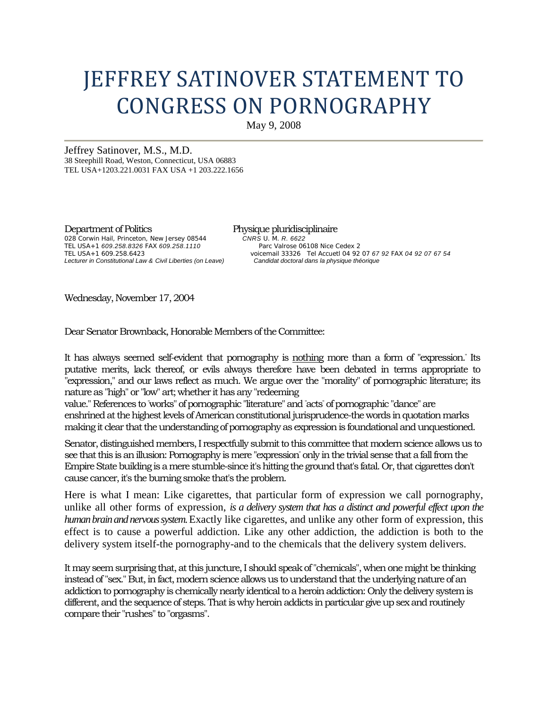## JEFFREY SATINOVER STATEMENT TO CONGRESS ON PORNOGRAPHY

May 9, 2008

Jeffrey Satinover, M.S., M.D. 38 Steephill Road, Weston, Connecticut, USA 06883 TEL USA+1203.221.0031 FAX USA +1 203.222.1656

Department of Politics Physique pluridisciplinaire 028 Corwin Hail, Princeton, New Jersey 08544 *CNRS* U. M. *R. 6622*  TEL USA+1 *609.258.8326 FAX 609.258.1110*<br>TEL USA+1 609.258.6423 **Lecturer in Constitutional Law & Civil Liberties (on Leave)** 

voicemail 33326 Tel Accuetl 04 92 07 67 92 FAX 04 92 07 67 54<br>Candidat doctoral dans la physique théorique

Wednesday, November 17, 2004

Dear Senator Brownback, Honorable Members of the Committee:

It has always seemed self-evident that pornography is nothing more than a form of "expression." Its putative merits, lack thereof, or evils always therefore have been debated in terms appropriate to "expression," and our laws reflect as much. We argue over the "morality" of pornographic literature; its nature as "high" or "low" art; whether it has any "redeeming

value." References to " works" of pornographic "literature" and " acts" of pornographic "dance" are enshrined at the highest levels of American constitutional jurisprudence-the words in quotation marks making it clear that the understanding of pornography as expression is foundational and unquestioned.

Senator, distinguished members, I respectfully submit to this committee that modern science allows us to see that this is an illusion: Pornography is mere "expression" only in the trivial sense that a fall from the Empire State building is a mere stumble-since it's hitting the ground that's fatal. Or, that cigarettes don't cause cancer, it's the burning smoke that's the problem.

Here is what I mean: Like cigarettes, that particular form of expression we call pornography, unlike all other forms of expression, *is a delivery system that has a distinct and powerful effect upon the human brain and nervous system.* Exactly like cigarettes, and unlike any other form of expression, this effect is to cause a powerful addiction. Like any other addiction, the addiction is both to the delivery system itself-the pornography-and to the chemicals that the delivery system delivers.

It may seem surprising that, at this juncture, I should speak of "chemicals", when one might be thinking instead of "sex." But, in fact, modern science allows us to understand that the underlying nature of an addiction to pornography is chemically nearly identical to a heroin addiction: Only the delivery system is different, and the sequence of steps. That is why heroin addicts in particular give up sex and routinely compare their "rushes" to "orgasms".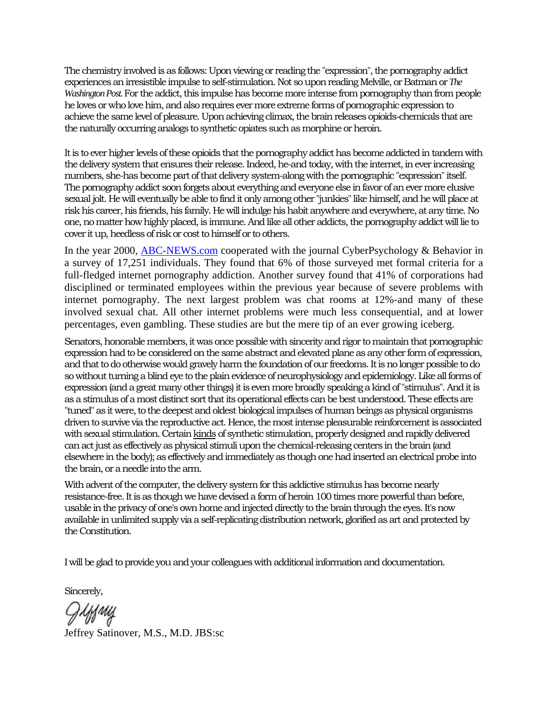The chemistry involved is as follows: Upon viewing or reading the "expression", the pornography addict experiences an irresistible impulse to self-stimulation. Not so upon reading Melville, or Batman or *The Washington Post.* For the addict, this impulse has become more intense from pornography than from people he loves or who love him, and also requires ever more extreme forms of pornographic expression to achieve the same level of pleasure. Upon achieving climax, the brain releases opioids-chemicals that are the naturally occurring analogs to synthetic opiates such as morphine or heroin.

It is to ever higher levels of these opioids that the pornography addict has become addicted in tandem with the delivery system that ensures their release. Indeed, he-and today, with the internet, in ever increasing numbers, she-has become part of that delivery system-along with the pornographic "expression" itself. The pornography addict soon forgets about everything and everyone else in favor of an ever more elusive sexual jolt. He will eventually be able to find it only among other "junkies" like himself, and he will place at risk his career, his friends, his family. He will indulge his habit anywhere and everywhere, at any time. No one, no matter how highly placed, is immune. And like all other addicts, the pornography addict will lie to cover it up, heedless of risk or cost to himself or to others.

In the year 2000, **ABC-NEWS.com** cooperated with the journal CyberPsychology & Behavior in a survey of 17,251 individuals. They found that 6% of those surveyed met formal criteria for a full-fledged internet pornography addiction. Another survey found that 41% of corporations had disciplined or terminated employees within the previous year because of severe problems with internet pornography. The next largest problem was chat rooms at 12%-and many of these involved sexual chat. All other internet problems were much less consequential, and at lower percentages, even gambling. These studies are but the mere tip of an ever growing iceberg.

Senators, honorable members, it was once possible with sincerity and rigor to maintain that pornographic expression had to be considered on the same abstract and elevated plane as any other form of expression, and that to do otherwise would gravely harm the foundation of our freedoms. It is no longer possible to do so without turning a blind eye to the plain evidence of neurophysiology and epidemiology. Like all forms of expression (and a great many other things) it is even more broadly speaking a kind of "stimulus". And it is as a stimulus of a most distinct sort that its operational effects can be best understood. These effects are "tuned" as it were, to the deepest and oldest biological impulses of human beings as physical organisms driven to survive via the reproductive act. Hence, the most intense pleasurable reinforcement is associated with sexual stimulation. Certain kinds of synthetic stimulation, properly designed and rapidly delivered can act just as effectively as physical stimuli upon the chemical-releasing centers in the brain (and elsewhere in the body); as effectively and immediately as though one had inserted an electrical probe into the brain, or a needle into the arm.

With advent of the computer, the delivery system for this addictive stimulus has become nearly resistance-free. It is as though we have devised a form of heroin 100 times more powerful than before, usable in the privacy of one's own home and injected directly to the brain through the eyes. It's now available in unlimited supply via a self-replicating distribution network, glorified as art and protected by the Constitution.

I will be glad to provide you and your colleagues with additional information and documentation.

Sincerely,

Griffwy Jeffrey Satinover, M.S., M.D. JBS:sc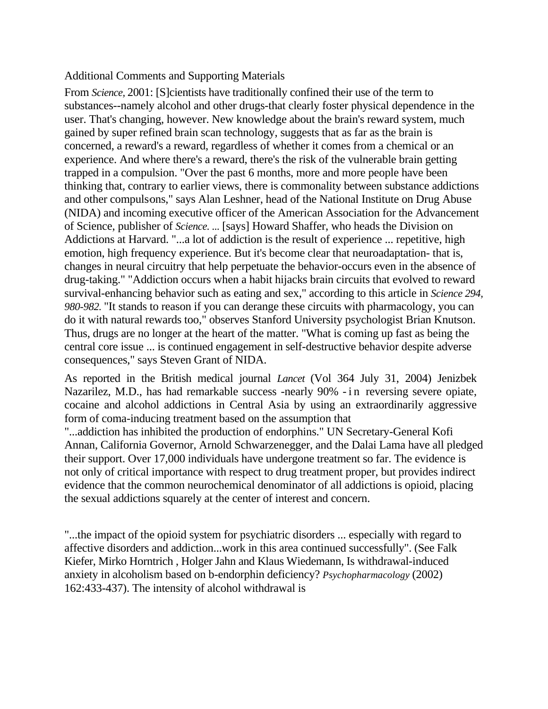## Additional Comments and Supporting Materials

From *Science,* 2001: [S]cientists have traditionally confined their use of the term to substances--namely alcohol and other drugs-that clearly foster physical dependence in the user. That's changing, however. New knowledge about the brain's reward system, much gained by super refined brain scan technology, suggests that as far as the brain is concerned, a reward's a reward, regardless of whether it comes from a chemical or an experience. And where there's a reward, there's the risk of the vulnerable brain getting trapped in a compulsion. "Over the past 6 months, more and more people have been thinking that, contrary to earlier views, there is commonality between substance addictions and other compulsons," says Alan Leshner, head of the National Institute on Drug Abuse (NIDA) and incoming executive officer of the American Association for the Advancement of Science, publisher of *Science. ...* [says] Howard Shaffer, who heads the Division on Addictions at Harvard. "...a lot of addiction is the result of experience ... repetitive, high emotion, high frequency experience. But it's become clear that neuroadaptation- that is, changes in neural circuitry that help perpetuate the behavior-occurs even in the absence of drug-taking." "Addiction occurs when a habit hijacks brain circuits that evolved to reward survival-enhancing behavior such as eating and sex," according to this article in *Science 294, 980-982.* "It stands to reason if you can derange these circuits with pharmacology, you can do it with natural rewards too," observes Stanford University psychologist Brian Knutson. Thus, drugs are no longer at the heart of the matter. "What is coming up fast as being the central core issue ... is continued engagement in self-destructive behavior despite adverse consequences," says Steven Grant of NIDA.

As reported in the British medical journal *Lancet* (Vol 364 July 31, 2004) Jenizbek Nazarilez, M.D., has had remarkable success -nearly 90% - in reversing severe opiate, cocaine and alcohol addictions in Central Asia by using an extraordinarily aggressive form of coma-inducing treatment based on the assumption that

"...addiction has inhibited the production of endorphins." UN Secretary-General Kofi Annan, California Governor, Arnold Schwarzenegger, and the Dalai Lama have all pledged their support. Over 17,000 individuals have undergone treatment so far. The evidence is not only of critical importance with respect to drug treatment proper, but provides indirect evidence that the common neurochemical denominator of all addictions is opioid, placing the sexual addictions squarely at the center of interest and concern.

"...the impact of the opioid system for psychiatric disorders ... especially with regard to affective disorders and addiction...work in this area continued successfully". (See Falk Kiefer, Mirko Horntrich , Holger Jahn and Klaus Wiedemann, Is withdrawal-induced anxiety in alcoholism based on b-endorphin deficiency? *Psychopharmacology* (2002) 162:433-437). The intensity of alcohol withdrawal is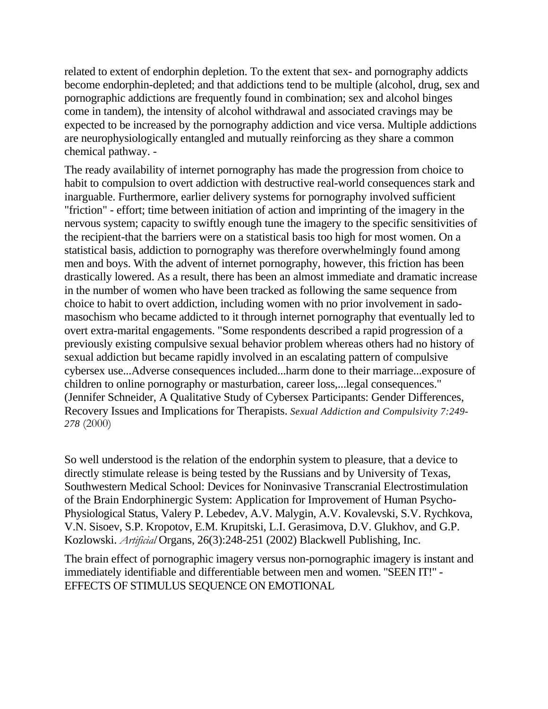related to extent of endorphin depletion. To the extent that sex- and pornography addicts become endorphin-depleted; and that addictions tend to be multiple (alcohol, drug, sex and pornographic addictions are frequently found in combination; sex and alcohol binges come in tandem), the intensity of alcohol withdrawal and associated cravings may be expected to be increased by the pornography addiction and vice versa. Multiple addictions are neurophysiologically entangled and mutually reinforcing as they share a common chemical pathway. -

The ready availability of internet pornography has made the progression from choice to habit to compulsion to overt addiction with destructive real-world consequences stark and inarguable. Furthermore, earlier delivery systems for pornography involved sufficient "friction" - effort; time between initiation of action and imprinting of the imagery in the nervous system; capacity to swiftly enough tune the imagery to the specific sensitivities of the recipient-that the barriers were on a statistical basis too high for most women. On a statistical basis, addiction to pornography was therefore overwhelmingly found among men and boys. With the advent of internet pornography, however, this friction has been drastically lowered. As a result, there has been an almost immediate and dramatic increase in the number of women who have been tracked as following the same sequence from choice to habit to overt addiction, including women with no prior involvement in sadomasochism who became addicted to it through internet pornography that eventually led to overt extra-marital engagements. "Some respondents described a rapid progression of a previously existing compulsive sexual behavior problem whereas others had no history of sexual addiction but became rapidly involved in an escalating pattern of compulsive cybersex use...Adverse consequences included...harm done to their marriage...exposure of children to online pornography or masturbation, career loss,...legal consequences." (Jennifer Schneider, A Qualitative Study of Cybersex Participants: Gender Differences, Recovery Issues and Implications for Therapists. *Sexual Addiction and Compulsivity 7:249- 278* (2000)

So well understood is the relation of the endorphin system to pleasure, that a device to directly stimulate release is being tested by the Russians and by University of Texas, Southwestern Medical School: Devices for Noninvasive Transcranial Electrostimulation of the Brain Endorphinergic System: Application for Improvement of Human Psycho-Physiological Status, Valery P. Lebedev, A.V. Malygin, A.V. Kovalevski, S.V. Rychkova, V.N. Sisoev, S.P. Kropotov, E.M. Krupitski, L.I. Gerasimova, D.V. Glukhov, and G.P. Kozlowski. *Artificial* Organs, 26(3):248-251 (2002) Blackwell Publishing, Inc.

The brain effect of pornographic imagery versus non-pornographic imagery is instant and immediately identifiable and differentiable between men and women. "SEEN IT!" - EFFECTS OF STIMULUS SEQUENCE ON EMOTIONAL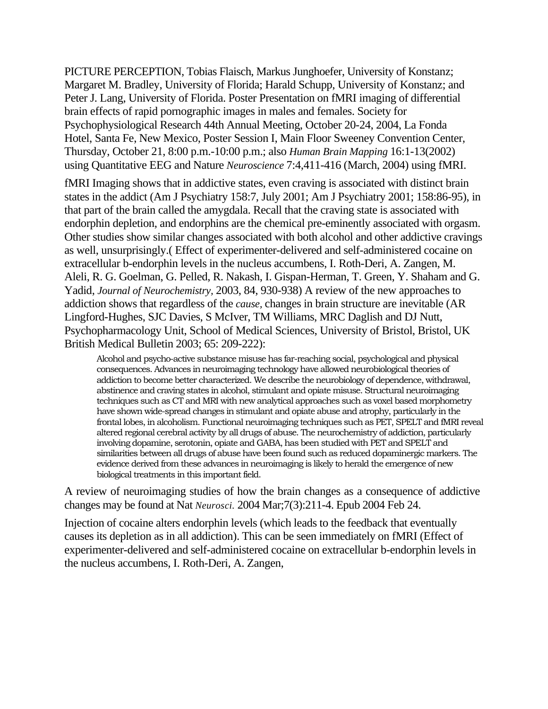PICTURE PERCEPTION, Tobias Flaisch, Markus Junghoefer, University of Konstanz; Margaret M. Bradley, University of Florida; Harald Schupp, University of Konstanz; and Peter J. Lang, University of Florida. Poster Presentation on fMRI imaging of differential brain effects of rapid pornographic images in males and females. Society for Psychophysiological Research 44th Annual Meeting, October 20-24, 2004, La Fonda Hotel, Santa Fe, New Mexico, Poster Session I, Main Floor Sweeney Convention Center, Thursday, October 21, 8:00 p.m.-10:00 p.m.; also *Human Brain Mapping* 16:1-13(2002) using Quantitative EEG and Nature *Neuroscience* 7:4,411-416 (March, 2004) using fMRI.

fMRI Imaging shows that in addictive states, even craving is associated with distinct brain states in the addict (Am J Psychiatry 158:7, July 2001; Am J Psychiatry 2001; 158:86-95), in that part of the brain called the amygdala. Recall that the craving state is associated with endorphin depletion, and endorphins are the chemical pre-eminently associated with orgasm. Other studies show similar changes associated with both alcohol and other addictive cravings as well, unsurprisingly.( Effect of experimenter-delivered and self-administered cocaine on extracellular b-endorphin levels in the nucleus accumbens, I. Roth-Deri, A. Zangen, M. Aleli, R. G. Goelman, G. Pelled, R. Nakash, I. Gispan-Herman, T. Green, Y. Shaham and G. Yadid, *Journal of Neurochemistry,* 2003, 84, 930-938) A review of the new approaches to addiction shows that regardless of the *cause,* changes in brain structure are inevitable (AR Lingford-Hughes, SJC Davies, S McIver, TM Williams, MRC Daglish and DJ Nutt, Psychopharmacology Unit, School of Medical Sciences, University of Bristol, Bristol, UK British Medical Bulletin 2003; 65: 209-222):

Alcohol and psycho-active substance misuse has far-reaching social, psychological and physical consequences. Advances in neuroimaging technology have allowed neurobiological theories of addiction to become better characterized. We describe the neurobiology of dependence, withdrawal, abstinence and craving states in alcohol, stimulant and opiate misuse. Structural neuroimaging techniques such as CT and MRI with new analytical approaches such as voxel based morphometry have shown wide-spread changes in stimulant and opiate abuse and atrophy, particularly in the frontal lobes, in alcoholism. Functional neuroimaging techniques such as PET, SPELT and fMRI reveal altered regional cerebral activity by all drugs of abuse. The neurochemistry of addiction, particularly involving dopamine, serotonin, opiate and GABA, has been studied with PET and SPELT and similarities between all drugs of abuse have been found such as reduced dopaminergic markers. The evidence derived from these advances in neuroimaging is likely to herald the emergence of new biological treatments in this important field.

A review of neuroimaging studies of how the brain changes as a consequence of addictive changes may be found at Nat *Neurosci.* 2004 Mar;7(3):211-4. Epub 2004 Feb 24.

Injection of cocaine alters endorphin levels (which leads to the feedback that eventually causes its depletion as in all addiction). This can be seen immediately on fMRI (Effect of experimenter-delivered and self-administered cocaine on extracellular b-endorphin levels in the nucleus accumbens, I. Roth-Deri, A. Zangen,